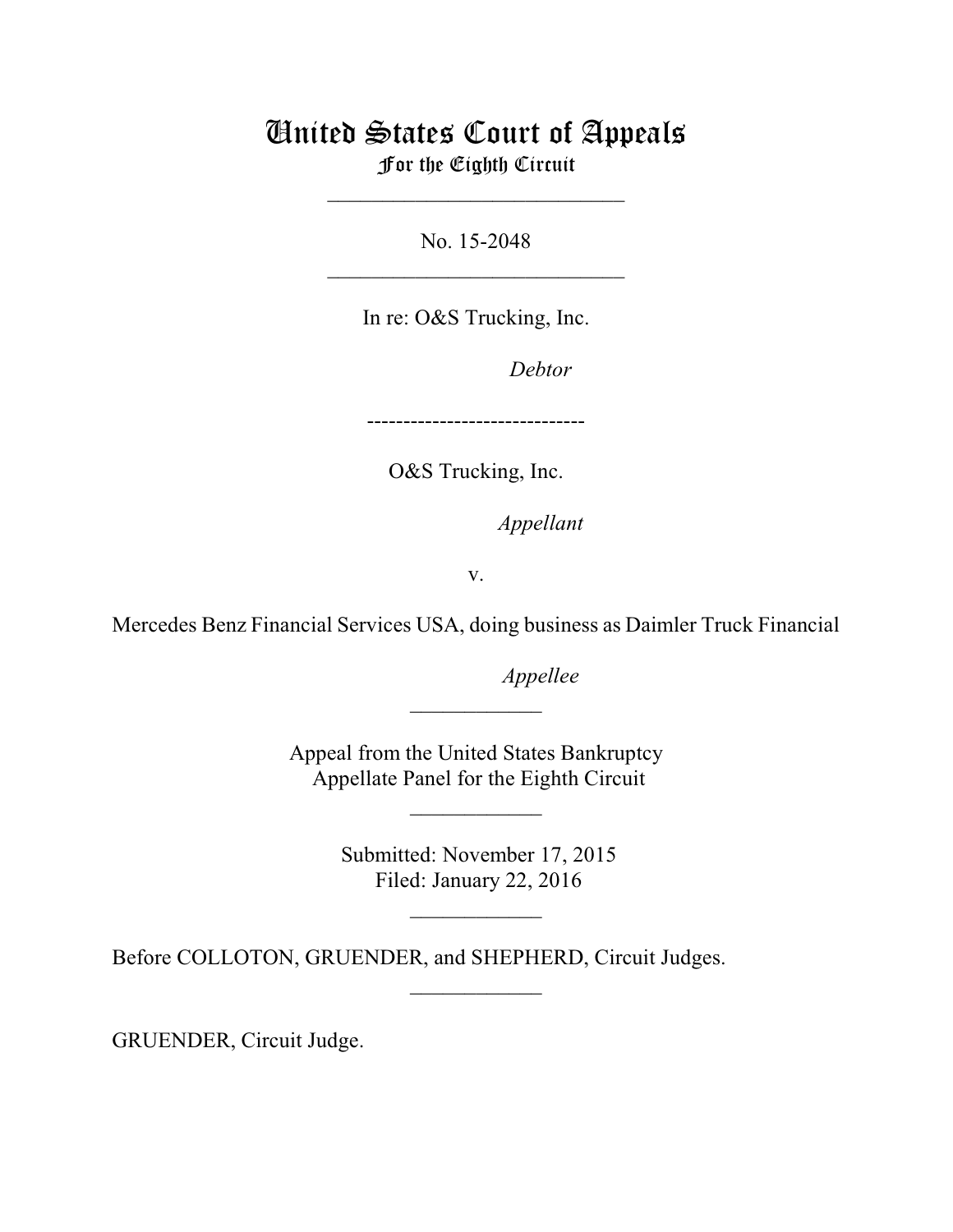## United States Court of Appeals For the Eighth Circuit

\_\_\_\_\_\_\_\_\_\_\_\_\_\_\_\_\_\_\_\_\_\_\_\_\_\_\_

No. 15-2048  $\mathcal{L}_\text{max}$  , which is a set of the set of the set of the set of the set of the set of the set of the set of the set of the set of the set of the set of the set of the set of the set of the set of the set of the set of

In re: O&S Trucking, Inc.

Debtor

------------------------------

O&S Trucking, Inc.

*Appellant* 

v.

Mercedes Benz Financial Services USA, doing business as Daimler Truck Financial

*Appellee* 

Appeal from the United States Bankruptcy Appellate Panel for the Eighth Circuit

 $\overline{\phantom{a}}$  , where  $\overline{\phantom{a}}$ 

 $\frac{1}{2}$ 

 Submitted: November 17, 2015 Filed: January 22, 2016

 $\frac{1}{2}$ 

 $\overline{\phantom{a}}$  , where  $\overline{\phantom{a}}$ 

Before COLLOTON, GRUENDER, and SHEPHERD, Circuit Judges.

GRUENDER, Circuit Judge.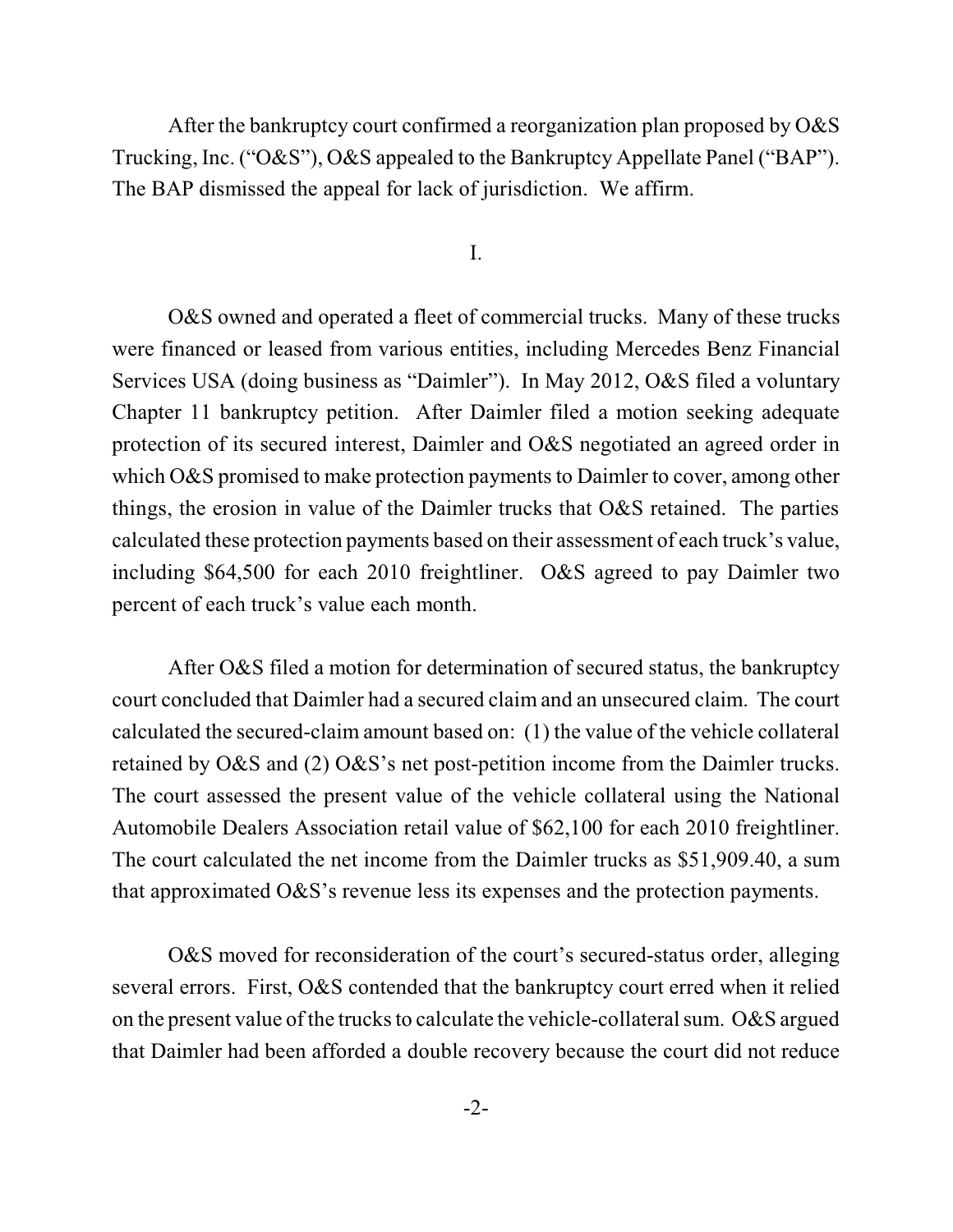After the bankruptcy court confirmed a reorganization plan proposed by O&S Trucking, Inc. ("O&S"), O&S appealed to the Bankruptcy Appellate Panel ("BAP"). The BAP dismissed the appeal for lack of jurisdiction. We affirm.

I.

O&S owned and operated a fleet of commercial trucks. Many of these trucks were financed or leased from various entities, including Mercedes Benz Financial Services USA (doing business as "Daimler"). In May 2012, O&S filed a voluntary Chapter 11 bankruptcy petition. After Daimler filed a motion seeking adequate protection of its secured interest, Daimler and O&S negotiated an agreed order in which  $\alpha$ &S promised to make protection payments to Daimler to cover, among other things, the erosion in value of the Daimler trucks that O&S retained. The parties calculated these protection payments based on their assessment of each truck's value, including \$64,500 for each 2010 freightliner. O&S agreed to pay Daimler two percent of each truck's value each month.

After O&S filed a motion for determination of secured status, the bankruptcy court concluded that Daimler had a secured claim and an unsecured claim. The court calculated the secured-claim amount based on: (1) the value of the vehicle collateral retained by O&S and (2) O&S's net post-petition income from the Daimler trucks. The court assessed the present value of the vehicle collateral using the National Automobile Dealers Association retail value of \$62,100 for each 2010 freightliner. The court calculated the net income from the Daimler trucks as \$51,909.40, a sum that approximated O&S's revenue less its expenses and the protection payments.

O&S moved for reconsideration of the court's secured-status order, alleging several errors. First, O&S contended that the bankruptcy court erred when it relied on the present value of the trucks to calculate the vehicle-collateral sum.  $\alpha$ &S argued that Daimler had been afforded a double recovery because the court did not reduce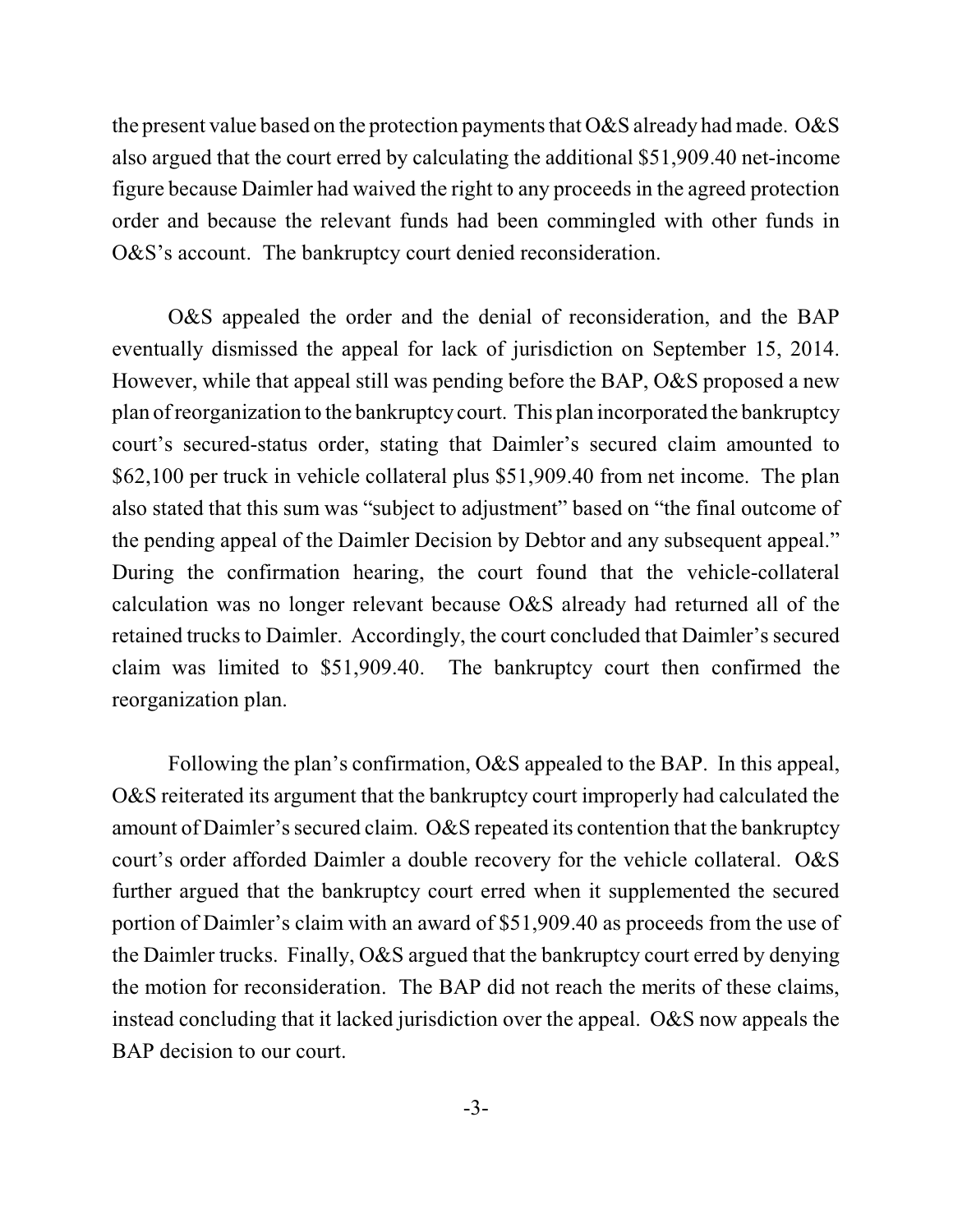the present value based on the protection payments that  $\alpha$ &S already had made.  $\alpha$ &S also argued that the court erred by calculating the additional \$51,909.40 net-income figure because Daimler had waived the right to any proceeds in the agreed protection order and because the relevant funds had been commingled with other funds in O&S's account. The bankruptcy court denied reconsideration.

O&S appealed the order and the denial of reconsideration, and the BAP eventually dismissed the appeal for lack of jurisdiction on September 15, 2014. However, while that appeal still was pending before the BAP, O&S proposed a new plan ofreorganization to the bankruptcy court. This plan incorporated the bankruptcy court's secured-status order, stating that Daimler's secured claim amounted to \$62,100 per truck in vehicle collateral plus \$51,909.40 from net income. The plan also stated that this sum was "subject to adjustment" based on "the final outcome of the pending appeal of the Daimler Decision by Debtor and any subsequent appeal." During the confirmation hearing, the court found that the vehicle-collateral calculation was no longer relevant because O&S already had returned all of the retained trucks to Daimler. Accordingly, the court concluded that Daimler's secured claim was limited to \$51,909.40. The bankruptcy court then confirmed the reorganization plan.

Following the plan's confirmation, O&S appealed to the BAP. In this appeal, O&S reiterated its argument that the bankruptcy court improperly had calculated the amount of Daimler's secured claim. O&S repeated its contention that the bankruptcy court's order afforded Daimler a double recovery for the vehicle collateral. O&S further argued that the bankruptcy court erred when it supplemented the secured portion of Daimler's claim with an award of \$51,909.40 as proceeds from the use of the Daimler trucks. Finally, O&S argued that the bankruptcy court erred by denying the motion for reconsideration. The BAP did not reach the merits of these claims, instead concluding that it lacked jurisdiction over the appeal. O&S now appeals the BAP decision to our court.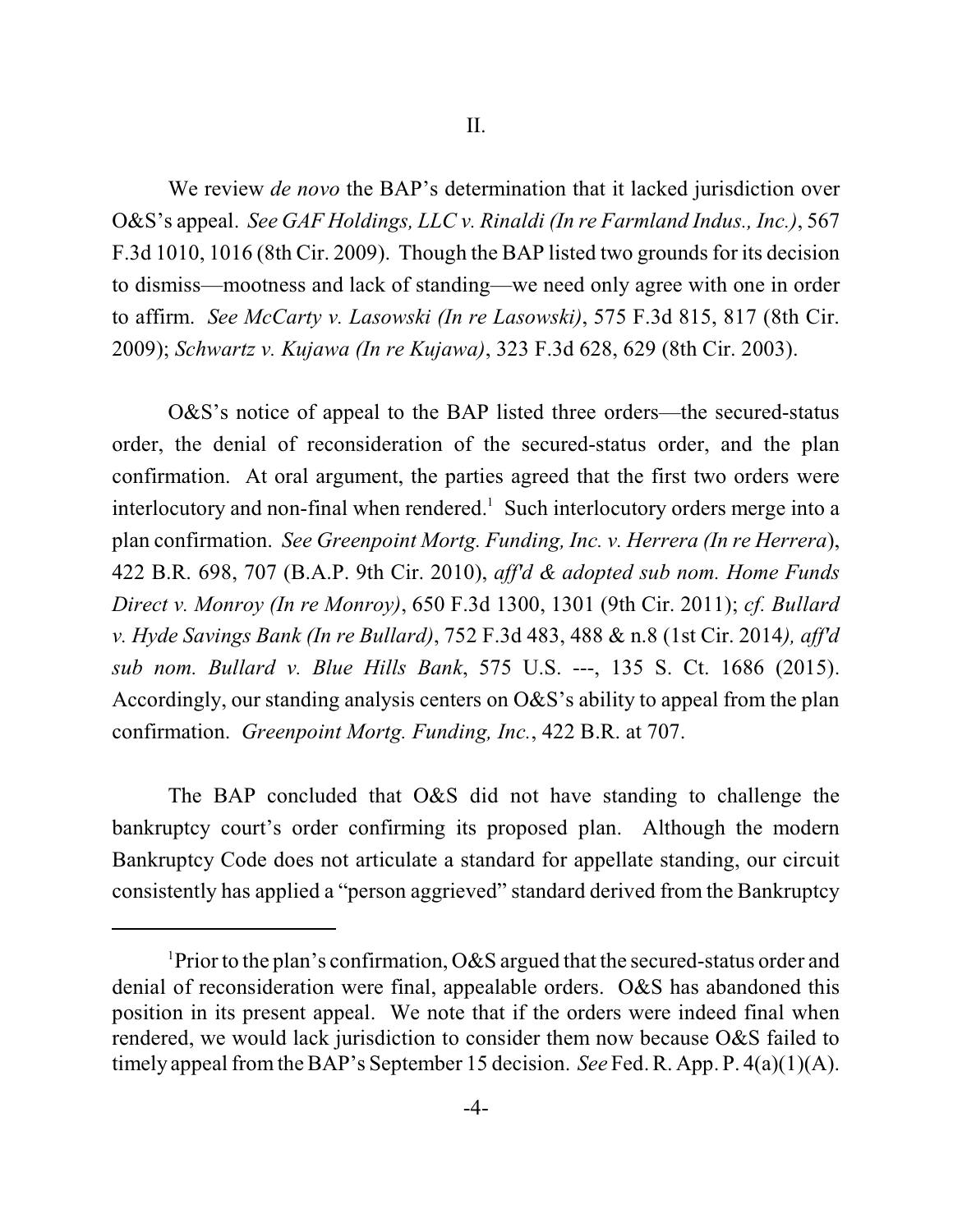We review *de novo* the BAP's determination that it lacked jurisdiction over O&S's appeal. *See GAF Holdings, LLC v. Rinaldi (In re Farmland Indus., Inc.)*, 567 F.3d 1010, 1016 (8th Cir. 2009). Though the BAP listed two grounds for its decision to dismiss—mootness and lack of standing—we need only agree with one in order to affirm. *See McCarty v. Lasowski (In re Lasowski)*, 575 F.3d 815, 817 (8th Cir. 2009); *Schwartz v. Kujawa (In re Kujawa)*, 323 F.3d 628, 629 (8th Cir. 2003).

O&S's notice of appeal to the BAP listed three orders—the secured-status order, the denial of reconsideration of the secured-status order, and the plan confirmation. At oral argument, the parties agreed that the first two orders were interlocutory and non-final when rendered.<sup>1</sup> Such interlocutory orders merge into a plan confirmation. *See Greenpoint Mortg. Funding, Inc. v. Herrera (In re Herrera*), 422 B.R. 698, 707 (B.A.P. 9th Cir. 2010), *aff'd & adopted sub nom. Home Funds Direct v. Monroy (In re Monroy)*, 650 F.3d 1300, 1301 (9th Cir. 2011); *cf. Bullard v. Hyde Savings Bank (In re Bullard)*, 752 F.3d 483, 488 & n.8 (1st Cir. 2014*), aff'd sub nom. Bullard v. Blue Hills Bank*, 575 U.S. ---, 135 S. Ct. 1686 (2015). Accordingly, our standing analysis centers on O&S's ability to appeal from the plan confirmation. *Greenpoint Mortg. Funding, Inc.*, 422 B.R. at 707.

The BAP concluded that O&S did not have standing to challenge the bankruptcy court's order confirming its proposed plan. Although the modern Bankruptcy Code does not articulate a standard for appellate standing, our circuit consistently has applied a "person aggrieved" standard derived from the Bankruptcy

<sup>&</sup>lt;sup>1</sup>Prior to the plan's confirmation, O&S argued that the secured-status order and denial of reconsideration were final, appealable orders. O&S has abandoned this position in its present appeal. We note that if the orders were indeed final when rendered, we would lack jurisdiction to consider them now because O&S failed to timely appeal fromthe BAP's September 15 decision. *See* Fed. R. App. P. 4(a)(1)(A).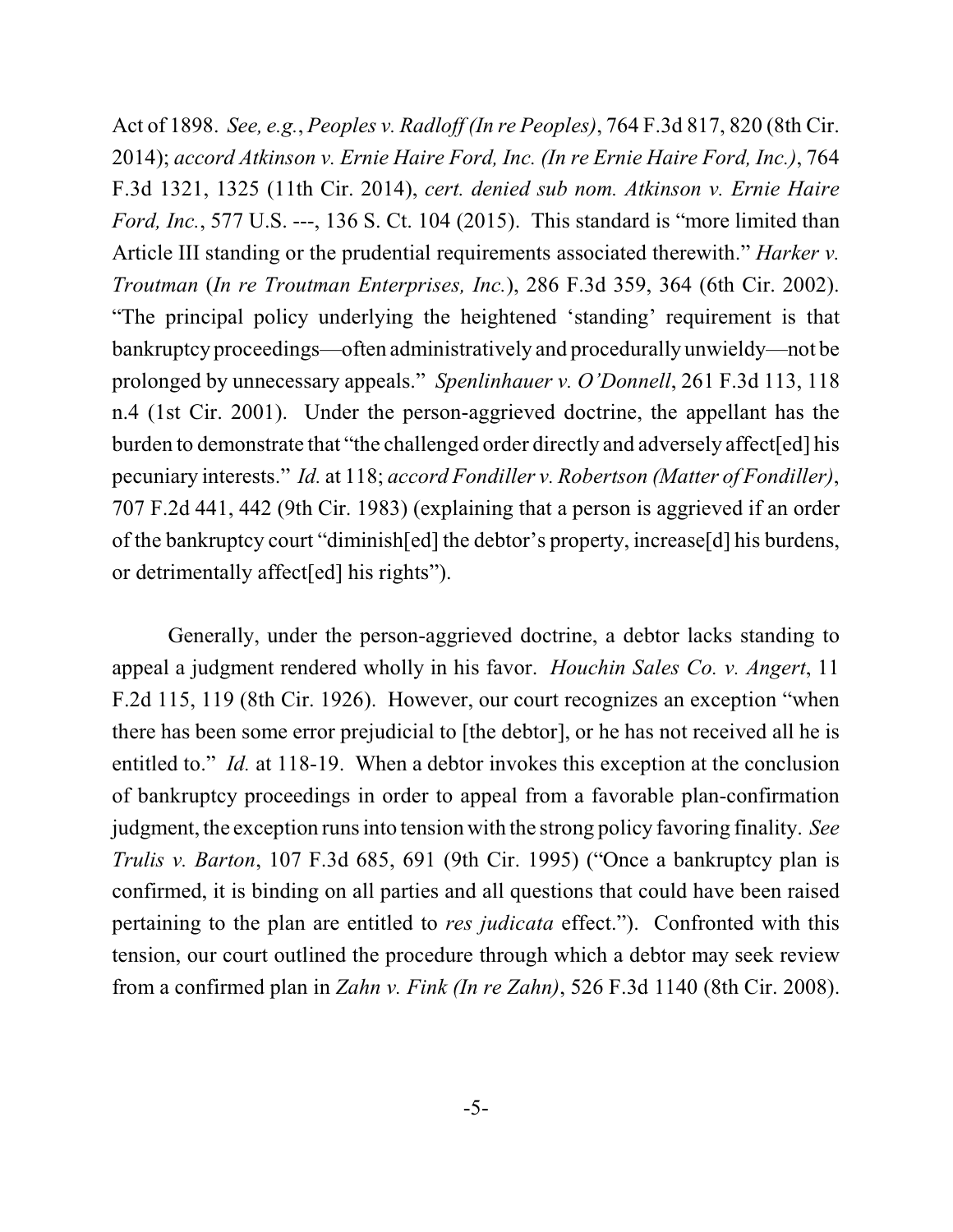Act of 1898. *See, e.g.*, *Peoples v. Radloff (In re Peoples)*, 764 F.3d 817, 820 (8th Cir. 2014); *accord Atkinson v. Ernie Haire Ford, Inc. (In re Ernie Haire Ford, Inc.)*, 764 F.3d 1321, 1325 (11th Cir. 2014), *cert. denied sub nom. Atkinson v. Ernie Haire Ford, Inc.*, 577 U.S. ---, 136 S. Ct. 104 (2015). This standard is "more limited than Article III standing or the prudential requirements associated therewith." *Harker v. Troutman* (*In re Troutman Enterprises, Inc.*), 286 F.3d 359, 364 (6th Cir. 2002). "The principal policy underlying the heightened 'standing' requirement is that bankruptcy proceedings—often administratively and procedurally unwieldy—not be prolonged by unnecessary appeals." *Spenlinhauer v. O'Donnell*, 261 F.3d 113, 118 n.4 (1st Cir. 2001). Under the person-aggrieved doctrine, the appellant has the burden to demonstrate that "the challenged order directly and adversely affect[ed] his pecuniary interests." *Id.* at 118; *accord Fondiller v. Robertson (Matter of Fondiller)*, 707 F.2d 441, 442 (9th Cir. 1983) (explaining that a person is aggrieved if an order of the bankruptcy court "diminish[ed] the debtor's property, increase[d] his burdens, or detrimentally affect[ed] his rights").

Generally, under the person-aggrieved doctrine, a debtor lacks standing to appeal a judgment rendered wholly in his favor. *Houchin Sales Co. v. Angert*, 11 F.2d 115, 119 (8th Cir. 1926). However, our court recognizes an exception "when there has been some error prejudicial to [the debtor], or he has not received all he is entitled to." *Id.* at 118-19. When a debtor invokes this exception at the conclusion of bankruptcy proceedings in order to appeal from a favorable plan-confirmation judgment, the exception runsinto tension with the strong policy favoring finality. *See Trulis v. Barton*, 107 F.3d 685, 691 (9th Cir. 1995) ("Once a bankruptcy plan is confirmed, it is binding on all parties and all questions that could have been raised pertaining to the plan are entitled to *res judicata* effect."). Confronted with this tension, our court outlined the procedure through which a debtor may seek review from a confirmed plan in *Zahn v. Fink (In re Zahn)*, 526 F.3d 1140 (8th Cir. 2008).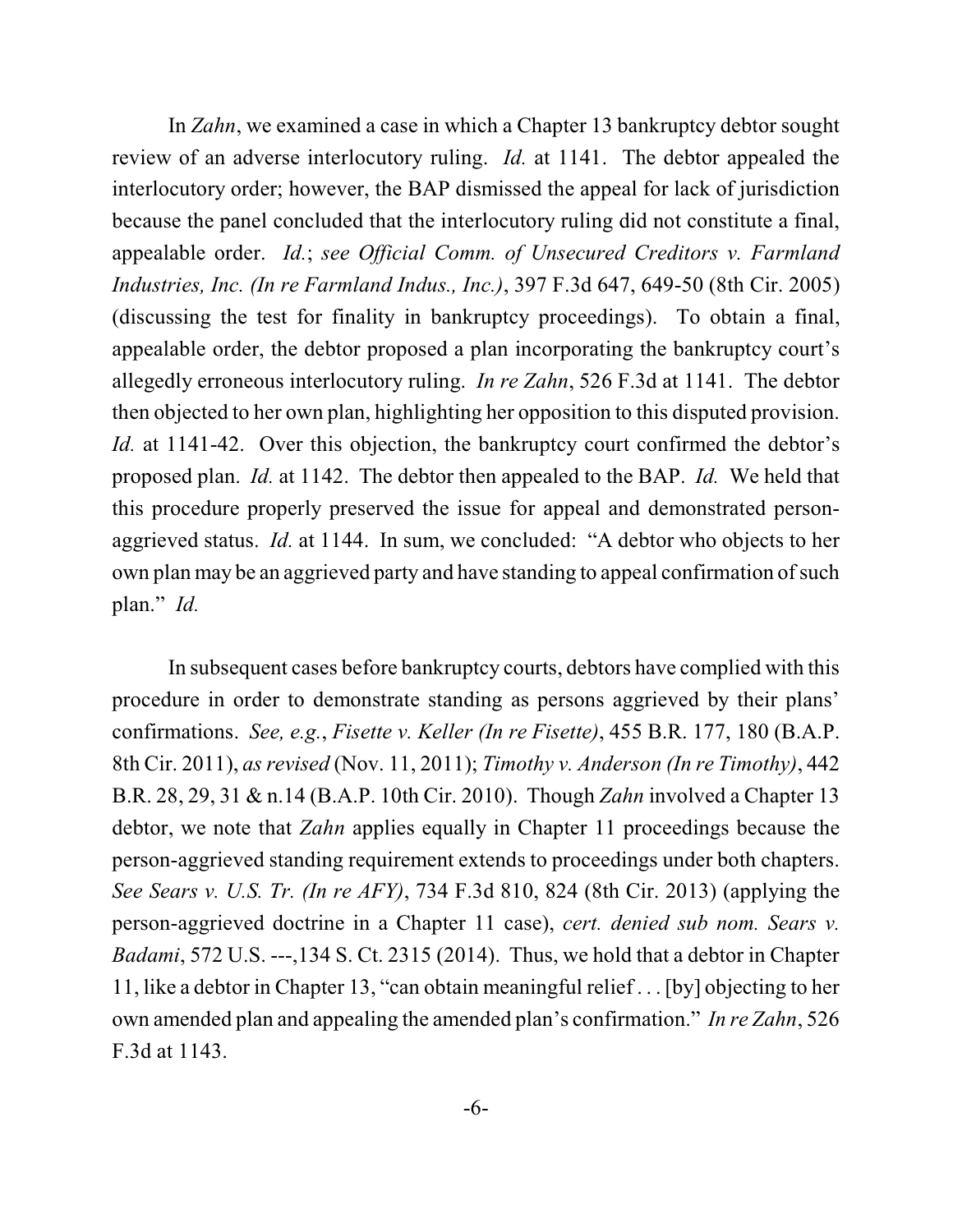In *Zahn*, we examined a case in which a Chapter 13 bankruptcy debtor sought review of an adverse interlocutory ruling. *Id.* at 1141. The debtor appealed the interlocutory order; however, the BAP dismissed the appeal for lack of jurisdiction because the panel concluded that the interlocutory ruling did not constitute a final, appealable order. *Id.*; *see Official Comm. of Unsecured Creditors v. Farmland Industries, Inc. (In re Farmland Indus., Inc.)*, 397 F.3d 647, 649-50 (8th Cir. 2005) (discussing the test for finality in bankruptcy proceedings). To obtain a final, appealable order, the debtor proposed a plan incorporating the bankruptcy court's allegedly erroneous interlocutory ruling. *In re Zahn*, 526 F.3d at 1141. The debtor then objected to her own plan, highlighting her opposition to this disputed provision. *Id.* at 1141-42. Over this objection, the bankruptcy court confirmed the debtor's proposed plan. *Id.* at 1142. The debtor then appealed to the BAP. *Id.* We held that this procedure properly preserved the issue for appeal and demonstrated personaggrieved status. *Id.* at 1144. In sum, we concluded: "A debtor who objects to her own plan may be an aggrieved party and have standing to appeal confirmation of such plan." *Id.*

In subsequent cases before bankruptcy courts, debtors have complied with this procedure in order to demonstrate standing as persons aggrieved by their plans' confirmations. *See, e.g.*, *Fisette v. Keller (In re Fisette)*, 455 B.R. 177, 180 (B.A.P. 8th Cir. 2011), *as revised* (Nov. 11, 2011); *Timothy v. Anderson (In re Timothy)*, 442 B.R. 28, 29, 31 & n.14 (B.A.P. 10th Cir. 2010). Though *Zahn* involved a Chapter 13 debtor, we note that *Zahn* applies equally in Chapter 11 proceedings because the person-aggrieved standing requirement extends to proceedings under both chapters. *See Sears v. U.S. Tr. (In re AFY)*, 734 F.3d 810, 824 (8th Cir. 2013) (applying the person-aggrieved doctrine in a Chapter 11 case), *cert. denied sub nom. Sears v. Badami*, 572 U.S. ---,134 S. Ct. 2315 (2014). Thus, we hold that a debtor in Chapter 11, like a debtor in Chapter 13, "can obtain meaningful relief . . . [by] objecting to her own amended plan and appealing the amended plan's confirmation." *In re Zahn*, 526 F.3d at 1143.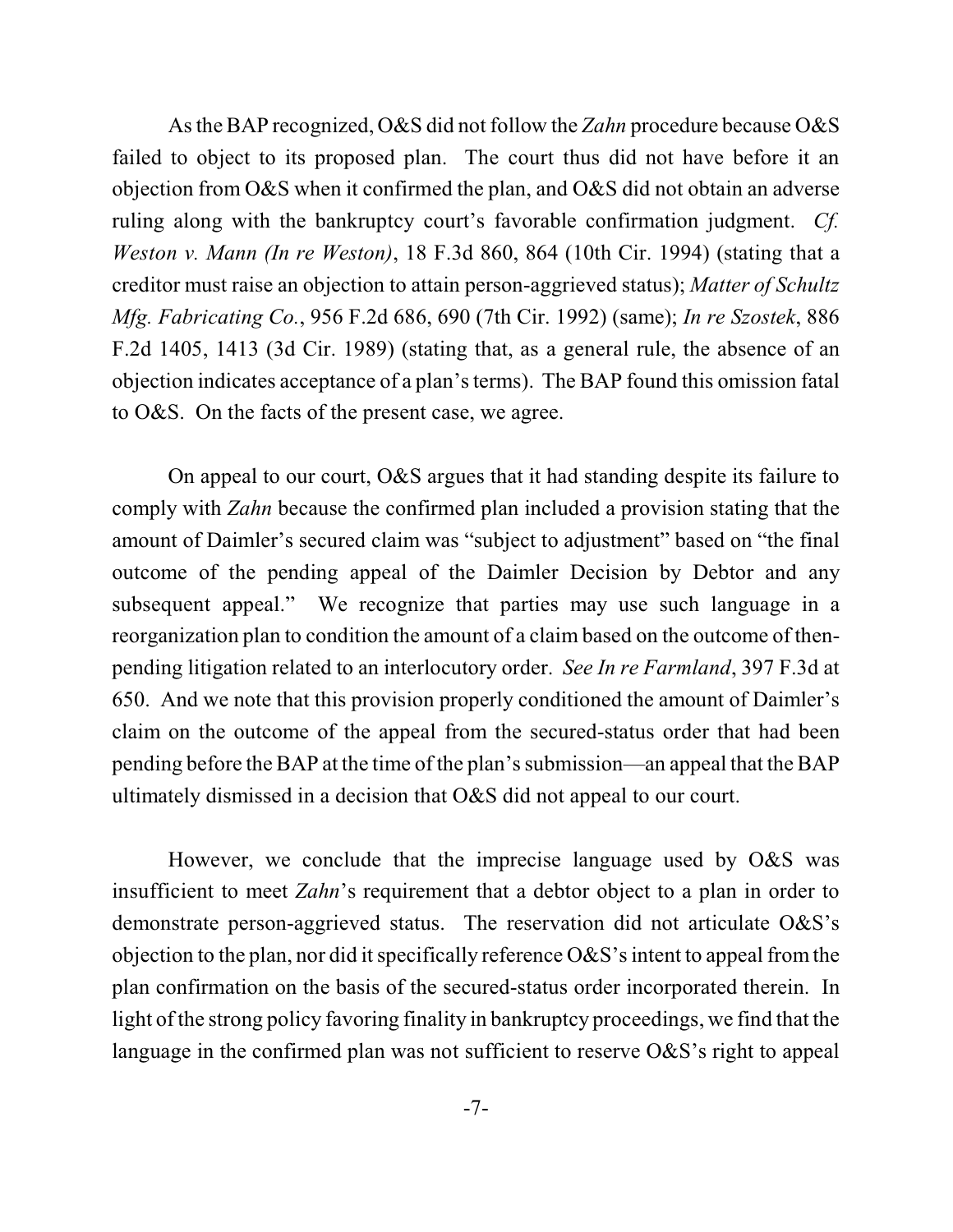As the BAP recognized, O&S did not follow the *Zahn* procedure because O&S failed to object to its proposed plan. The court thus did not have before it an objection from O&S when it confirmed the plan, and O&S did not obtain an adverse ruling along with the bankruptcy court's favorable confirmation judgment. *Cf. Weston v. Mann (In re Weston)*, 18 F.3d 860, 864 (10th Cir. 1994) (stating that a creditor must raise an objection to attain person-aggrieved status); *Matter of Schultz Mfg. Fabricating Co.*, 956 F.2d 686, 690 (7th Cir. 1992) (same); *In re Szostek*, 886 F.2d 1405, 1413 (3d Cir. 1989) (stating that, as a general rule, the absence of an objection indicates acceptance of a plan's terms). The BAP found this omission fatal to O&S. On the facts of the present case, we agree.

On appeal to our court, O&S argues that it had standing despite its failure to comply with *Zahn* because the confirmed plan included a provision stating that the amount of Daimler's secured claim was "subject to adjustment" based on "the final outcome of the pending appeal of the Daimler Decision by Debtor and any subsequent appeal." We recognize that parties may use such language in a reorganization plan to condition the amount of a claim based on the outcome of thenpending litigation related to an interlocutory order. *See In re Farmland*, 397 F.3d at 650. And we note that this provision properly conditioned the amount of Daimler's claim on the outcome of the appeal from the secured-status order that had been pending before the BAP at the time of the plan's submission—an appeal that the BAP ultimately dismissed in a decision that O&S did not appeal to our court.

However, we conclude that the imprecise language used by O&S was insufficient to meet *Zahn*'s requirement that a debtor object to a plan in order to demonstrate person-aggrieved status. The reservation did not articulate O&S's objection to the plan, nor did it specifically reference  $\alpha$ &S's intent to appeal from the plan confirmation on the basis of the secured-status order incorporated therein. In light of the strong policy favoring finality in bankruptcy proceedings, we find that the language in the confirmed plan was not sufficient to reserve O&S's right to appeal